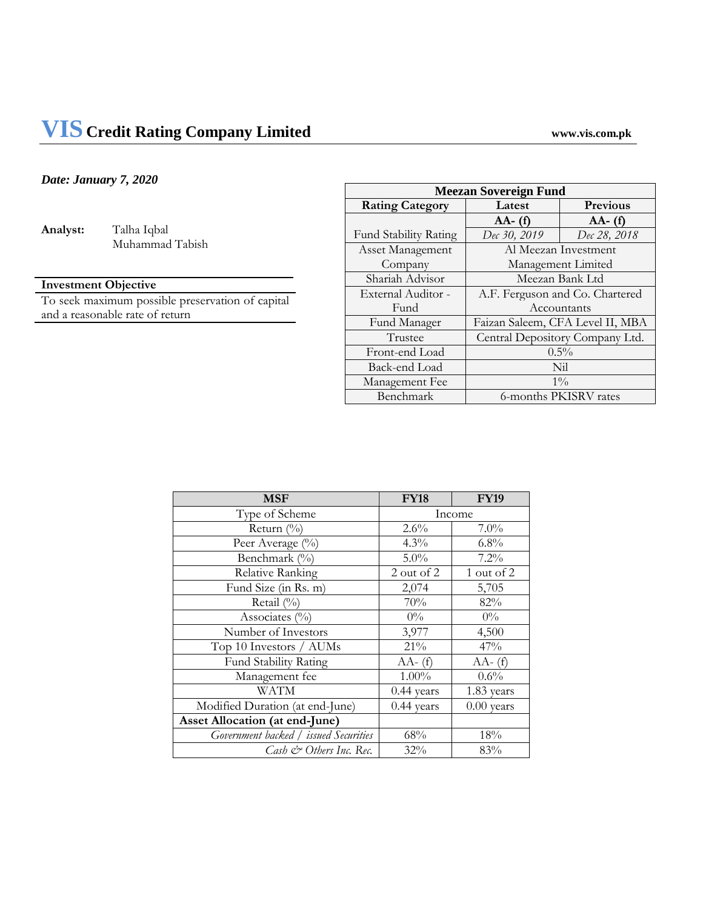# *Date: January 7, 2020*

**Analyst:** Talha Iqbal Muhammad Tabish

# **Investment Objective**

To seek maximum possible preservation of capital and a reasonable rate of return

| <b>Meezan Sovereign Fund</b> |                                  |              |  |
|------------------------------|----------------------------------|--------------|--|
| <b>Rating Category</b>       | Latest                           | Previous     |  |
|                              | $AA - (f)$                       | $AA - (f)$   |  |
| <b>Fund Stability Rating</b> | Dec 30, 2019                     | Dec 28, 2018 |  |
| <b>Asset Management</b>      | Al Meezan Investment             |              |  |
| Company                      | Management Limited               |              |  |
| Shariah Advisor              | Meezan Bank Ltd                  |              |  |
| External Auditor -           | A.F. Ferguson and Co. Chartered  |              |  |
| Fund                         | Accountants                      |              |  |
| Fund Manager                 | Faizan Saleem, CFA Level II, MBA |              |  |
| Trustee                      | Central Depository Company Ltd.  |              |  |
| Front-end Load               | $0.5\%$                          |              |  |
| Back-end Load                | Nil                              |              |  |
| Management Fee               | $1\%$                            |              |  |
| Benchmark                    | 6-months PKISRV rates            |              |  |

| <b>MSF</b>                            | <b>FY18</b>  | <b>FY19</b>  |
|---------------------------------------|--------------|--------------|
| Type of Scheme                        | Income       |              |
| Return (%)                            | $2.6\%$      | $7.0\%$      |
| Peer Average (%)                      | $4.3\%$      | 6.8%         |
| Benchmark (%)                         | $5.0\%$      | $7.2\%$      |
| Relative Ranking                      | 2 out of 2   | 1 out of 2   |
| Fund Size (in Rs. m)                  | 2,074        | 5,705        |
| Retail (%)                            | $70\%$       | 82%          |
| Associates $(\% )$                    | $0\%$        | $0\%$        |
| Number of Investors                   | 3,977        | 4,500        |
| Top 10 Investors / AUMs               | 21%          | 47%          |
| Fund Stability Rating                 | $AA - (f)$   | $AA - (f)$   |
| Management fee                        | $1.00\%$     | 0.6%         |
| WATM                                  | 0.44 years   | 1.83 years   |
| Modified Duration (at end-June)       | $0.44$ years | $0.00$ years |
| <b>Asset Allocation (at end-June)</b> |              |              |
| Government backed / issued Securities | 68%          | 18%          |
| Cash & Others Inc. Rec.               | 32%          | 83%          |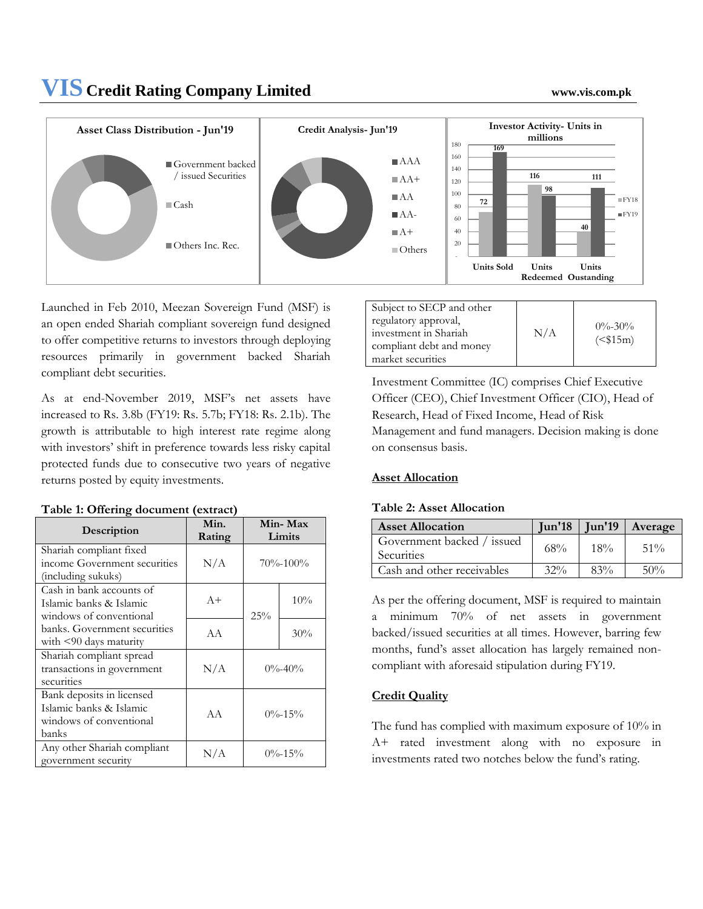# **VIS Credit Rating Company Limited www.vis.com.pk**



Launched in Feb 2010, Meezan Sovereign Fund (MSF) is an open ended Shariah compliant sovereign fund designed to offer competitive returns to investors through deploying resources primarily in government backed Shariah compliant debt securities.

As at end-November 2019, MSF's net assets have increased to Rs. 3.8b (FY19: Rs. 5.7b; FY18: Rs. 2.1b). The growth is attributable to high interest rate regime along with investors' shift in preference towards less risky capital protected funds due to consecutive two years of negative returns posted by equity investments.

|                              | Min.                | Min-Max        |     |
|------------------------------|---------------------|----------------|-----|
| Description                  | Rating              | Limits         |     |
| Shariah compliant fixed      |                     |                |     |
| income Government securities | N/A                 | $70\% - 100\%$ |     |
| (including sukuks)           |                     |                |     |
| Cash in bank accounts of     |                     |                |     |
| Islamic banks & Islamic      | $A+$                |                | 10% |
| windows of conventional      |                     | 25%            |     |
| banks. Government securities | AA                  |                | 30% |
| with $\leq 90$ days maturity |                     |                |     |
| Shariah compliant spread     |                     |                |     |
| transactions in government   | N/A<br>$0\% - 40\%$ |                |     |
| securities                   |                     |                |     |
| Bank deposits in licensed    |                     |                |     |
| Islamic banks & Islamic      | A A                 | $0\% - 15\%$   |     |
| windows of conventional      |                     |                |     |
| banks                        |                     |                |     |
| Any other Shariah compliant  |                     | $0\% - 15\%$   |     |
| government security          | N/A                 |                |     |

#### **Table 1: Offering document (extract)**

| Subject to SECP and other |     |              |
|---------------------------|-----|--------------|
| regulatory approval,      |     | $0\% - 30\%$ |
| investment in Shariah     | N/A | $($15m)$     |
| compliant debt and money  |     |              |
| market securities         |     |              |

Investment Committee (IC) comprises Chief Executive Officer (CEO), Chief Investment Officer (CIO), Head of Research, Head of Fixed Income, Head of Risk Management and fund managers. Decision making is done on consensus basis.

# **Asset Allocation**

## **Table 2: Asset Allocation**

| <b>Asset Allocation</b>                  |        |        | $Jun'18$ $Jun'19$ $Average$ |
|------------------------------------------|--------|--------|-----------------------------|
| Government backed / issued<br>Securities | 68%    | $18\%$ | $51\%$                      |
| Cash and other receivables               | $32\%$ | $83\%$ | 50%                         |

As per the offering document, MSF is required to maintain a minimum 70% of net assets in government backed/issued securities at all times. However, barring few months, fund's asset allocation has largely remained noncompliant with aforesaid stipulation during FY19.

# **Credit Quality**

The fund has complied with maximum exposure of 10% in A+ rated investment along with no exposure in investments rated two notches below the fund's rating.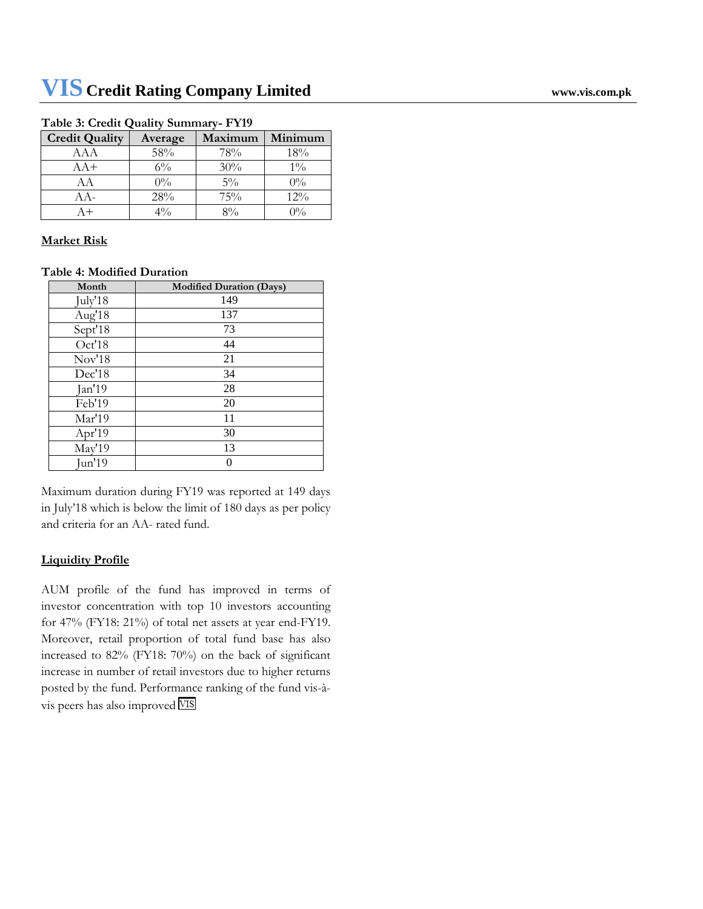| <b>Credit Quality</b> | Average | Maximum | Minimum |
|-----------------------|---------|---------|---------|
| AAA                   | 58%     | 78%     | 18%     |
| $AA+$                 | $6\%$   | 30%     | $1\%$   |
| АA                    | $0\%$   | $5\%$   | $0\%$   |
| A A –                 | 28%     | 75%     | 12%     |
|                       |         | 80/6    | $0\%$   |

#### **Table 3: Credit Quality Summary- FY19**

## **Market Risk**

## **Table 4: Modified Duration**

| Month                 | <b>Modified Duration (Days)</b> |
|-----------------------|---------------------------------|
| July'18               | 149                             |
| Aug'18                | 137                             |
| Sept' $1\overline{8}$ | 73                              |
| Oct'18                | 44                              |
| Nov'18                | 21                              |
| Dec'18                | 34                              |
| Jan'19                | 28                              |
| Feb'19                | 20                              |
| Mar'19                | 11                              |
| Apr'19                | 30                              |
| May'19                | 13                              |
| Jun'19                |                                 |

Maximum duration during FY19 was reported at 149 days in July'18 which is below the limit of 180 days as per policy and criteria for an AA- rated fund.

# **Liquidity Profile**

AUM profile of the fund has improved in terms of investor concentration with top 10 investors accounting for 47% (FY18: 21%) of total net assets at year end-FY19. Moreover, retail proportion of total fund base has also increased to 82% (FY18: 70%) on the back of significant increase in number of retail investors due to higher returns posted by the fund. Performance ranking of the fund vis-àvis peers has also improved